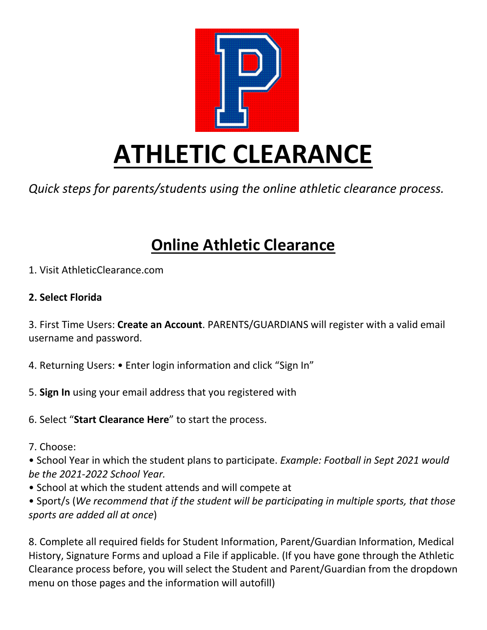

*Quick steps for parents/students using the online athletic clearance process.* 

# **Online Athletic Clearance**

1. Visit AthleticClearance.com

#### **2. Select Florida**

3. First Time Users: **Create an Account**. PARENTS/GUARDIANS will register with a valid email username and password.

- 4. Returning Users: Enter login information and click "Sign In"
- 5. **Sign In** using your email address that you registered with
- 6. Select "**Start Clearance Here**" to start the process.
- 7. Choose:

• School Year in which the student plans to participate. *Example: Football in Sept 2021 would be the 2021-2022 School Year.* 

• School at which the student attends and will compete at

• Sport/s (*We recommend that if the student will be participating in multiple sports, that those sports are added all at once*)

8. Complete all required fields for Student Information, Parent/Guardian Information, Medical History, Signature Forms and upload a File if applicable. (If you have gone through the Athletic Clearance process before, you will select the Student and Parent/Guardian from the dropdown menu on those pages and the information will autofill)